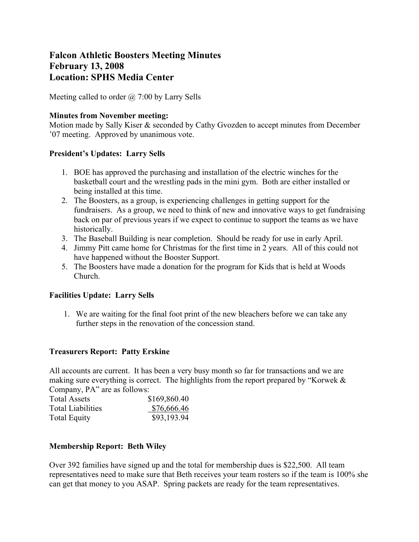# **Falcon Athletic Boosters Meeting Minutes February 13, 2008 Location: SPHS Media Center**

Meeting called to order  $\omega$  7:00 by Larry Sells

#### **Minutes from November meeting:**

Motion made by Sally Kiser & seconded by Cathy Gvozden to accept minutes from December '07 meeting. Approved by unanimous vote.

### **President's Updates: Larry Sells**

- 1. BOE has approved the purchasing and installation of the electric winches for the basketball court and the wrestling pads in the mini gym. Both are either installed or being installed at this time.
- 2. The Boosters, as a group, is experiencing challenges in getting support for the fundraisers. As a group, we need to think of new and innovative ways to get fundraising back on par of previous years if we expect to continue to support the teams as we have historically.
- 3. The Baseball Building is near completion. Should be ready for use in early April.
- 4. Jimmy Pitt came home for Christmas for the first time in 2 years. All of this could not have happened without the Booster Support.
- 5. The Boosters have made a donation for the program for Kids that is held at Woods Church.

## **Facilities Update: Larry Sells**

1. We are waiting for the final foot print of the new bleachers before we can take any further steps in the renovation of the concession stand.

## **Treasurers Report: Patty Erskine**

All accounts are current. It has been a very busy month so far for transactions and we are making sure everything is correct. The highlights from the report prepared by "Korwek & Company, PA" are as follows:

| <b>Total Assets</b>      | \$169,860.40 |  |  |
|--------------------------|--------------|--|--|
| <b>Total Liabilities</b> | \$76,666.46  |  |  |
| <b>Total Equity</b>      | \$93,193.94  |  |  |

## **Membership Report: Beth Wiley**

Over 392 families have signed up and the total for membership dues is \$22,500. All team representatives need to make sure that Beth receives your team rosters so if the team is 100% she can get that money to you ASAP. Spring packets are ready for the team representatives.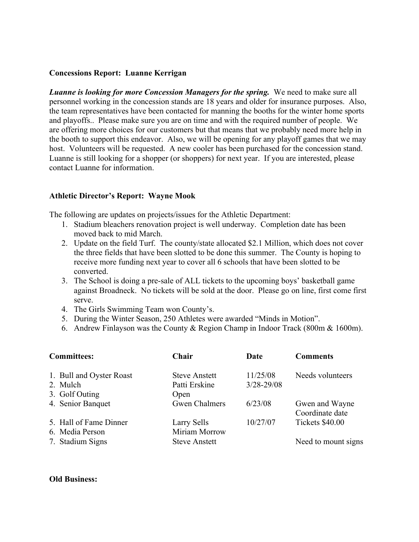#### **Concessions Report: Luanne Kerrigan**

*Luanne is looking for more Concession Managers for the spring.* We need to make sure all personnel working in the concession stands are 18 years and older for insurance purposes. Also, the team representatives have been contacted for manning the booths for the winter home sports and playoffs.. Please make sure you are on time and with the required number of people. We are offering more choices for our customers but that means that we probably need more help in the booth to support this endeavor. Also, we will be opening for any playoff games that we may host. Volunteers will be requested. A new cooler has been purchased for the concession stand. Luanne is still looking for a shopper (or shoppers) for next year. If you are interested, please contact Luanne for information.

### **Athletic Director's Report: Wayne Mook**

The following are updates on projects/issues for the Athletic Department:

- 1. Stadium bleachers renovation project is well underway. Completion date has been moved back to mid March.
- 2. Update on the field Turf. The county/state allocated \$2.1 Million, which does not cover the three fields that have been slotted to be done this summer. The County is hoping to receive more funding next year to cover all 6 schools that have been slotted to be converted.
- 3. The School is doing a pre-sale of ALL tickets to the upcoming boys' basketball game against Broadneck. No tickets will be sold at the door. Please go on line, first come first serve.
- 4. The Girls Swimming Team won County's.
- 5. During the Winter Season, 250 Athletes were awarded "Minds in Motion".
- 6. Andrew Finlayson was the County & Region Champ in Indoor Track (800m & 1600m).

| <b>Committees:</b>                                     | Chair                                         | Date                       | <b>Comments</b>                   |
|--------------------------------------------------------|-----------------------------------------------|----------------------------|-----------------------------------|
| 1. Bull and Oyster Roast<br>2. Mulch<br>3. Golf Outing | <b>Steve Anstett</b><br>Patti Erskine<br>Open | 11/25/08<br>$3/28 - 29/08$ | Needs volunteers                  |
| 4. Senior Banquet                                      | <b>Gwen Chalmers</b>                          | 6/23/08                    | Gwen and Wayne<br>Coordinate date |
| 5. Hall of Fame Dinner<br>6. Media Person              | Larry Sells<br>Miriam Morrow                  | 10/27/07                   | Tickets \$40.00                   |
| 7. Stadium Signs                                       | <b>Steve Anstett</b>                          |                            | Need to mount signs               |

#### **Old Business:**